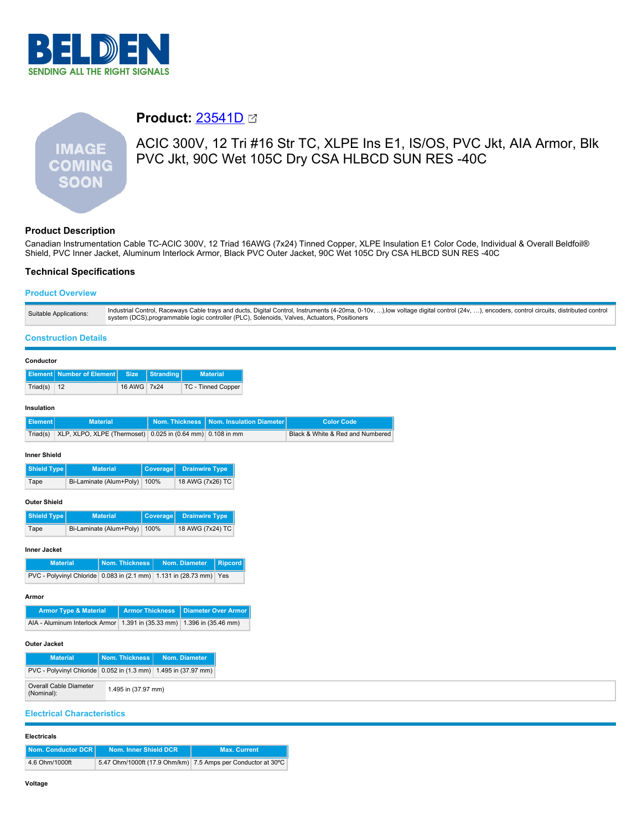



# **Product:** [23541D](https://catalog.belden.com/index.cfm?event=pd&p=PF_23541D&tab=downloads)

# ACIC 300V, 12 Tri #16 Str TC, XLPE Ins E1, IS/OS, PVC Jkt, AIA Armor, Blk PVC Jkt, 90C Wet 105C Dry CSA HLBCD SUN RES -40C

## **Product Description**

Canadian Instrumentation Cable TC-ACIC 300V, 12 Triad 16AWG (7x24) Tinned Copper, XLPE Insulation E1 Color Code, Individual & Overall Beldfoil® Shield, PVC Inner Jacket, Aluminum Interlock Armor, Black PVC Outer Jacket, 90C Wet 105C Dry CSA HLBCD SUN RES -40C

## **Technical Specifications**

## **Product Overview**

| Suitable Applications: | Industrial Control, Raceways Cable trays and ducts, Digital Control, Instruments (4-20ma, 0-10v, ),low voltage digital control (24v, ), encoders, control circuits, distributed control<br>system (DCS), programmable logic controller (PLC), Solenoids, Valves, Actuators, Positioners |
|------------------------|-----------------------------------------------------------------------------------------------------------------------------------------------------------------------------------------------------------------------------------------------------------------------------------------|
|                        |                                                                                                                                                                                                                                                                                         |

### **Construction Details**

| Conductor           |                                                                |                         |                        |                                           |                                 |                                  |
|---------------------|----------------------------------------------------------------|-------------------------|------------------------|-------------------------------------------|---------------------------------|----------------------------------|
| <b>Element</b>      | <b>Number of Element</b>                                       | <b>Size</b>             | Stranding              | <b>Material</b>                           |                                 |                                  |
| Triad(s)            | 12                                                             | 16 AWG                  | 7x24                   | <b>TC - Tinned Copper</b>                 |                                 |                                  |
| Insulation          |                                                                |                         |                        |                                           |                                 |                                  |
| <b>Element</b>      |                                                                | <b>Material</b>         | <b>Nom. Thickness</b>  |                                           | <b>Nom. Insulation Diameter</b> | <b>Color Code</b>                |
| Triad(s)            | XLP, XLPO, XLPE (Thermoset)                                    |                         |                        | $0.025$ in $(0.64$ mm)<br>0.108 in mm     |                                 | Black & White & Red and Numbered |
|                     |                                                                |                         |                        |                                           |                                 |                                  |
| <b>Inner Shield</b> |                                                                |                         |                        |                                           |                                 |                                  |
| <b>Shield Type</b>  |                                                                | <b>Material</b>         | Coverage               | <b>Drainwire Type</b>                     |                                 |                                  |
| Tape                |                                                                | Bi-Laminate (Alum+Poly) | 100%                   | 18 AWG (7x26) TC                          |                                 |                                  |
| <b>Outer Shield</b> |                                                                |                         |                        |                                           |                                 |                                  |
|                     |                                                                | <b>Material</b>         |                        |                                           |                                 |                                  |
| <b>Shield Type</b>  |                                                                | Bi-Laminate (Alum+Poly) | Coverage<br>100%       | <b>Drainwire Type</b><br>18 AWG (7x24) TC |                                 |                                  |
| Tape                |                                                                |                         |                        |                                           |                                 |                                  |
| <b>Inner Jacket</b> |                                                                |                         |                        |                                           |                                 |                                  |
|                     | <b>Material</b>                                                | <b>Nom. Thickness</b>   |                        | Nom. Diameter                             | <b>Ripcord</b>                  |                                  |
|                     | PVC - Polyvinyl Chloride 0.083 in (2.1 mm)                     |                         |                        | 1.131 in (28.73 mm)                       | Yes                             |                                  |
| Armor               |                                                                |                         |                        |                                           |                                 |                                  |
|                     | <b>Armor Type &amp; Material</b>                               |                         | <b>Armor Thickness</b> |                                           | <b>Diameter Over Armor</b>      |                                  |
|                     | AIA - Aluminum Interlock Armor                                 |                         | 1.391 in (35.33 mm)    | 1.396 in (35.46 mm)                       |                                 |                                  |
|                     |                                                                |                         |                        |                                           |                                 |                                  |
| <b>Outer Jacket</b> |                                                                |                         |                        |                                           |                                 |                                  |
|                     | <b>Material</b>                                                | Nom. Thickness          |                        | Nom. Diameter                             |                                 |                                  |
|                     | PVC - Polyvinyl Chloride 0.052 in (1.3 mm) 1.495 in (37.97 mm) |                         |                        |                                           |                                 |                                  |
| (Nominal):          | <b>Overall Cable Diameter</b>                                  | 1.495 in (37.97 mm)     |                        |                                           |                                 |                                  |
|                     | <b>Electrical Characteristics</b>                              |                         |                        |                                           |                                 |                                  |

### **Electricals**

| Nom. Conductor DCR | Nom. Inner Shield DCR                                        | <b>Max. Current</b> |
|--------------------|--------------------------------------------------------------|---------------------|
| 4.6 Ohm/1000ft     | 5.47 Ohm/1000ft (17.9 Ohm/km) 7.5 Amps per Conductor at 30°C |                     |